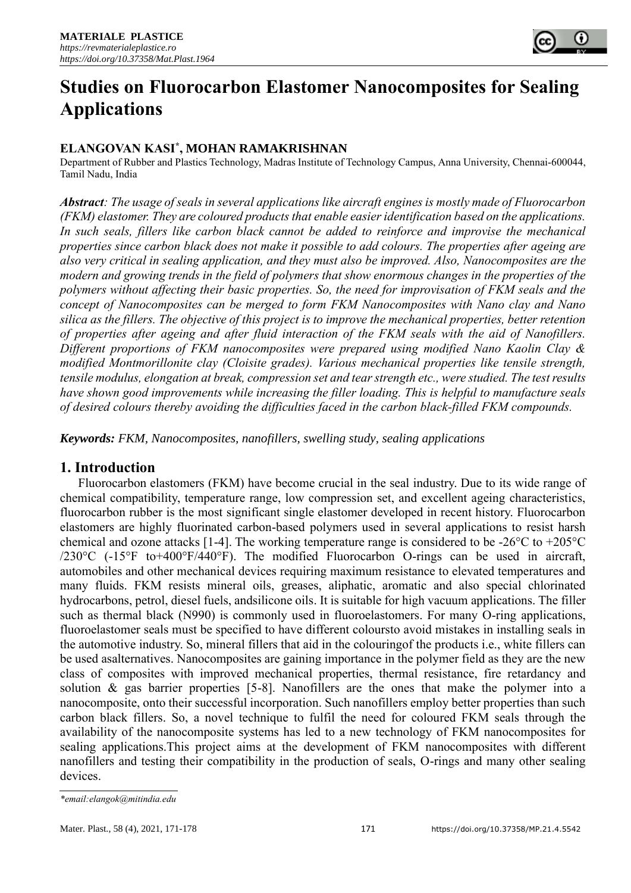

# **Studies on Fluorocarbon Elastomer Nanocomposites for Sealing Applications**

## **ELANGOVAN KASI\* , MOHAN RAMAKRISHNAN**

Department of Rubber and Plastics Technology, Madras Institute of Technology Campus, Anna University, Chennai-600044, Tamil Nadu, India

*Abstract: The usage of seals in several applications like aircraft engines is mostly made of Fluorocarbon (FKM) elastomer. They are coloured products that enable easier identification based on the applications. In such seals, fillers like carbon black cannot be added to reinforce and improvise the mechanical properties since carbon black does not make it possible to add colours. The properties after ageing are also very critical in sealing application, and they must also be improved. Also, Nanocomposites are the modern and growing trends in the field of polymers that show enormous changes in the properties of the polymers without affecting their basic properties. So, the need for improvisation of FKM seals and the concept of Nanocomposites can be merged to form FKM Nanocomposites with Nano clay and Nano silica as the fillers. The objective of this project is to improve the mechanical properties, better retention of properties after ageing and after fluid interaction of the FKM seals with the aid of Nanofillers. Different proportions of FKM nanocomposites were prepared using modified Nano Kaolin Clay & modified Montmorillonite clay (Cloisite grades). Various mechanical properties like tensile strength, tensile modulus, elongation at break, compression set and tear strength etc., were studied. The test results have shown good improvements while increasing the filler loading. This is helpful to manufacture seals of desired colours thereby avoiding the difficulties faced in the carbon black-filled FKM compounds.* 

*Keywords: FKM, Nanocomposites, nanofillers, swelling study, sealing applications*

# **1. Introduction**

Fluorocarbon elastomers (FKM) have become crucial in the seal industry. Due to its wide range of chemical compatibility, temperature range, low compression set, and excellent ageing characteristics, fluorocarbon rubber is the most significant single elastomer developed in recent history. Fluorocarbon elastomers are highly fluorinated carbon-based polymers used in several applications to resist harsh chemical and ozone attacks [1-4]. The working temperature range is considered to be -26°C to +205°C /230°C (-15°F to+400°F/440°F). The modified Fluorocarbon O-rings can be used in aircraft, automobiles and other mechanical devices requiring maximum resistance to elevated temperatures and many fluids. FKM resists mineral oils, greases, aliphatic, aromatic and also special chlorinated hydrocarbons, petrol, diesel fuels, andsilicone oils. It is suitable for high vacuum applications. The filler such as thermal black (N990) is commonly used in fluoroelastomers. For many O-ring applications, fluoroelastomer seals must be specified to have different coloursto avoid mistakes in installing seals in the automotive industry. So, mineral fillers that aid in the colouringof the products i.e., white fillers can be used asalternatives. Nanocomposites are gaining importance in the polymer field as they are the new class of composites with improved mechanical properties, thermal resistance, fire retardancy and solution & gas barrier properties [5-8]. Nanofillers are the ones that make the polymer into a nanocomposite, onto their successful incorporation. Such nanofillers employ better properties than such carbon black fillers. So, a novel technique to fulfil the need for coloured FKM seals through the availability of the nanocomposite systems has led to a new technology of FKM nanocomposites for sealing applications.This project aims at the development of FKM nanocomposites with different nanofillers and testing their compatibility in the production of seals, O-rings and many other sealing devices.

*<sup>\*</sup>email[:elangok@mitindia.edu](mailto:elangok@mitindia.edu)*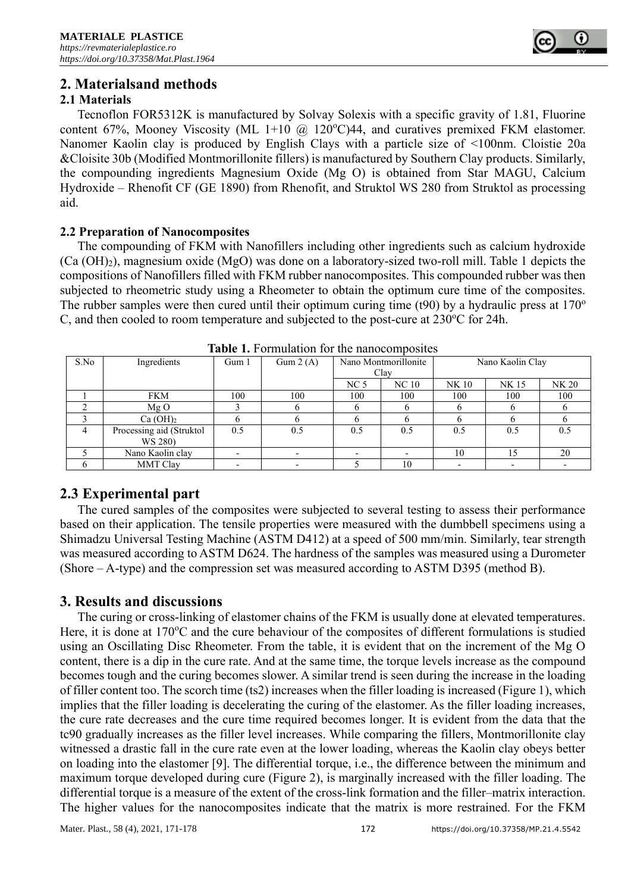

# **2. Materialsand methods**

### **2.1 Materials**

Tecnoflon FOR5312K is manufactured by Solvay Solexis with a specific gravity of 1.81, Fluorine content 67%, Mooney Viscosity (ML 1+10  $\omega$  120°C)44, and curatives premixed FKM elastomer. Nanomer Kaolin clay is produced by English Clays with a particle size of <100nm. Cloistie 20a &Cloisite 30b (Modified Montmorillonite fillers) is manufactured by Southern Clay products. Similarly, the compounding ingredients Magnesium Oxide (Mg O) is obtained from Star MAGU, Calcium Hydroxide – Rhenofit CF (GE 1890) from Rhenofit, and Struktol WS 280 from Struktol as processing aid.

#### **2.2 Preparation of Nanocomposites**

The compounding of FKM with Nanofillers including other ingredients such as calcium hydroxide (Ca (OH)2), magnesium oxide (MgO) was done on a laboratory-sized two-roll mill. Table 1 depicts the compositions of Nanofillers filled with FKM rubber nanocomposites. This compounded rubber was then subjected to rheometric study using a Rheometer to obtain the optimum cure time of the composites. The rubber samples were then cured until their optimum curing time (t90) by a hydraulic press at  $170^{\circ}$ C, and then cooled to room temperature and subjected to the post-cure at  $230^{\circ}$ C for 24h.

| <b>THEIR IS I</b> DIMIGRATION TOT THE MAND COMPOSITE |                                     |       |            |                              |       |                  |       |       |
|------------------------------------------------------|-------------------------------------|-------|------------|------------------------------|-------|------------------|-------|-------|
| S.No                                                 | Ingredients                         | Gum 1 | Gum $2(A)$ | Nano Montmorillonite<br>Clay |       | Nano Kaolin Clay |       |       |
|                                                      |                                     |       |            | NC <sub>5</sub>              | NC 10 | NK 10            | NK 15 | NK 20 |
|                                                      | <b>FKM</b>                          | 100   | 100        | 100                          | 100   | 100              | 100   | 100   |
|                                                      | MgO                                 |       |            |                              |       |                  |       |       |
|                                                      | Ca(OH) <sub>2</sub>                 |       |            |                              |       |                  |       |       |
|                                                      | Processing aid (Struktol<br>WS 280) | 0.5   | 0.5        | 0.5                          | 0.5   | 0.5              | 0.5   |       |
|                                                      | Nano Kaolin clay                    |       |            |                              |       | 10               | 15    | 20    |
|                                                      | <b>MMT Clay</b>                     |       |            |                              |       |                  |       |       |

**Table 1.** Formulation for the nanocomposites

# **2.3 Experimental part**

The cured samples of the composites were subjected to several testing to assess their performance based on their application. The tensile properties were measured with the dumbbell specimens using a Shimadzu Universal Testing Machine (ASTM D412) at a speed of 500 mm/min. Similarly, tear strength was measured according to ASTM D624. The hardness of the samples was measured using a Durometer (Shore – A-type) and the compression set was measured according to ASTM D395 (method B).

# **3. Results and discussions**

The curing or cross-linking of elastomer chains of the FKM is usually done at elevated temperatures. Here, it is done at  $170^{\circ}$ C and the cure behaviour of the composites of different formulations is studied using an Oscillating Disc Rheometer. From the table, it is evident that on the increment of the Mg O content, there is a dip in the cure rate. And at the same time, the torque levels increase as the compound becomes tough and the curing becomes slower. A similar trend is seen during the increase in the loading of filler content too. The scorch time (ts2) increases when the filler loading is increased (Figure 1), which implies that the filler loading is decelerating the curing of the elastomer. As the filler loading increases, the cure rate decreases and the cure time required becomes longer. It is evident from the data that the tc90 gradually increases as the filler level increases. While comparing the fillers, Montmorillonite clay witnessed a drastic fall in the cure rate even at the lower loading, whereas the Kaolin clay obeys better on loading into the elastomer [9]. The differential torque, i.e., the difference between the minimum and maximum torque developed during cure (Figure 2), is marginally increased with the filler loading. The differential torque is a measure of the extent of the cross-link formation and the filler–matrix interaction. The higher values for the nanocomposites indicate that the matrix is more restrained. For the FKM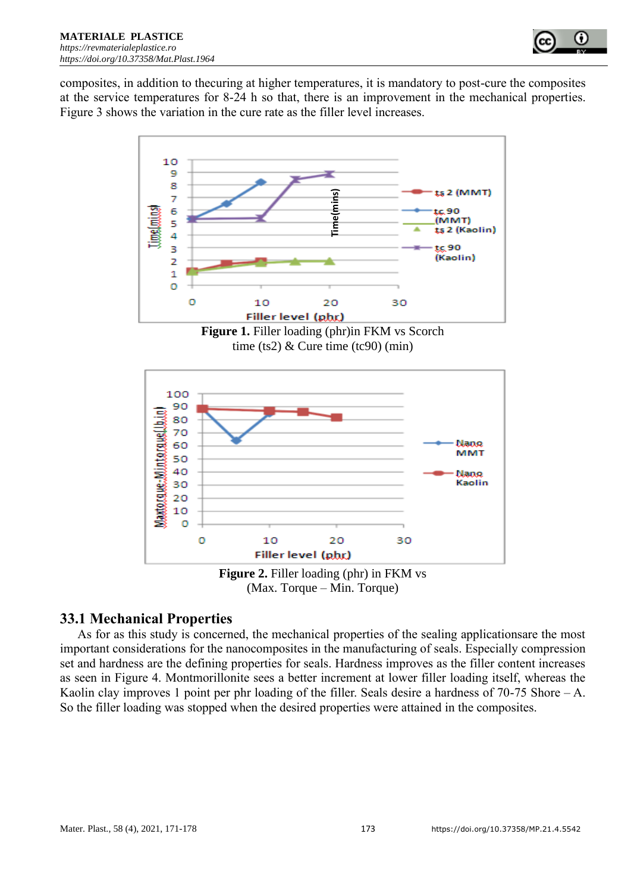

composites, in addition to thecuring at higher temperatures, it is mandatory to post-cure the composites at the service temperatures for 8-24 h so that, there is an improvement in the mechanical properties. Figure 3 shows the variation in the cure rate as the filler level increases.



**Figure 1.** Filler loading (phr)in FKM vs Scorch time (ts2)  $&$  Cure time (tc90) (min)



**Figure 2.** Filler loading (phr) in FKM vs (Max. Torque – Min. Torque)

# **33.1 Mechanical Properties**

As for as this study is concerned, the mechanical properties of the sealing applicationsare the most important considerations for the nanocomposites in the manufacturing of seals. Especially compression set and hardness are the defining properties for seals. Hardness improves as the filler content increases as seen in Figure 4. Montmorillonite sees a better increment at lower filler loading itself, whereas the Kaolin clay improves 1 point per phr loading of the filler. Seals desire a hardness of  $70-75$  Shore – A. So the filler loading was stopped when the desired properties were attained in the composites.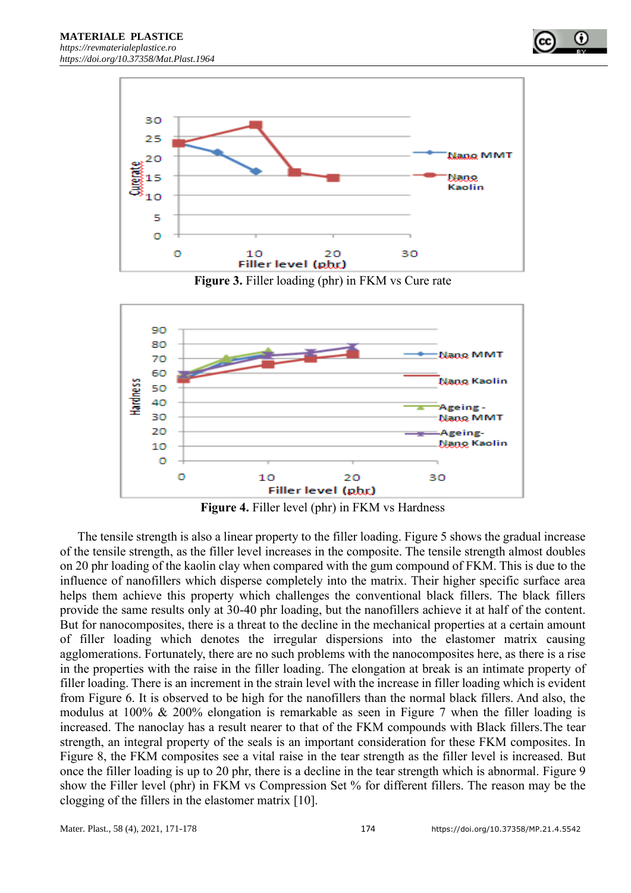



**Figure 3.** Filler loading (phr) in FKM vs Cure rate



**Figure 4.** Filler level (phr) in FKM vs Hardness

The tensile strength is also a linear property to the filler loading. Figure 5 shows the gradual increase of the tensile strength, as the filler level increases in the composite. The tensile strength almost doubles on 20 phr loading of the kaolin clay when compared with the gum compound of FKM. This is due to the influence of nanofillers which disperse completely into the matrix. Their higher specific surface area helps them achieve this property which challenges the conventional black fillers. The black fillers provide the same results only at 30-40 phr loading, but the nanofillers achieve it at half of the content. But for nanocomposites, there is a threat to the decline in the mechanical properties at a certain amount of filler loading which denotes the irregular dispersions into the elastomer matrix causing agglomerations. Fortunately, there are no such problems with the nanocomposites here, as there is a rise in the properties with the raise in the filler loading. The elongation at break is an intimate property of filler loading. There is an increment in the strain level with the increase in filler loading which is evident from Figure 6. It is observed to be high for the nanofillers than the normal black fillers. And also, the modulus at 100% & 200% elongation is remarkable as seen in Figure 7 when the filler loading is increased. The nanoclay has a result nearer to that of the FKM compounds with Black fillers.The tear strength, an integral property of the seals is an important consideration for these FKM composites. In Figure 8, the FKM composites see a vital raise in the tear strength as the filler level is increased. But once the filler loading is up to 20 phr, there is a decline in the tear strength which is abnormal. Figure 9 show the Filler level (phr) in FKM vs Compression Set % for different fillers. The reason may be the clogging of the fillers in the elastomer matrix [10].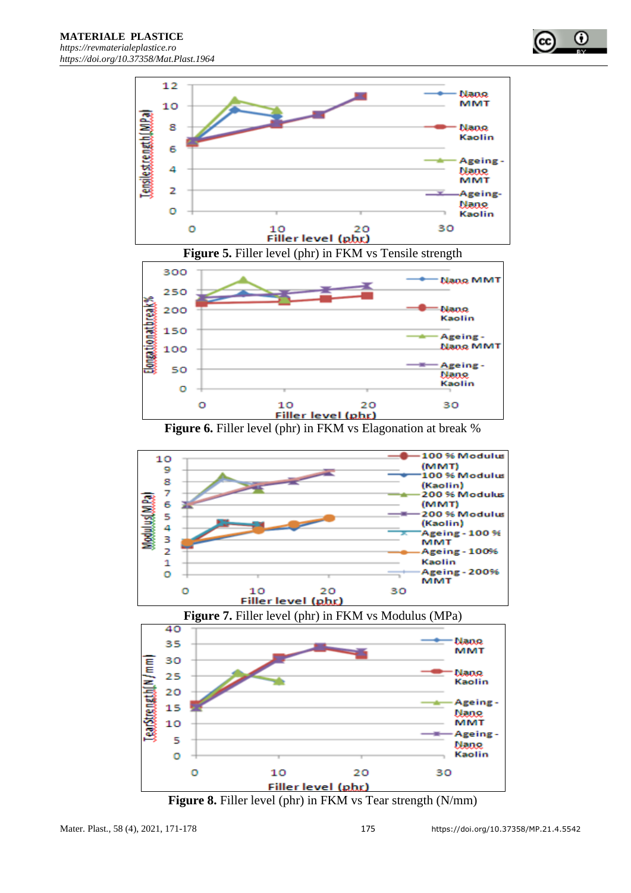





**Figure 5.** Filler level (phr) in FKM vs Tensile strength

**Figure 6.** Filler level (phr) in FKM vs Elagonation at break %







**Figure 8.** Filler level (phr) in FKM vs Tear strength (N/mm)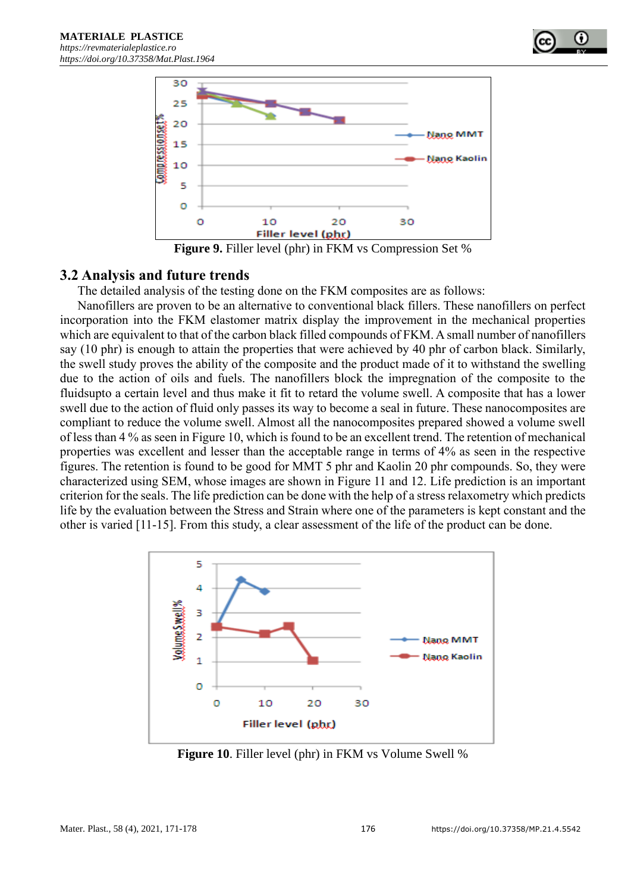



**Figure 9.** Filler level (phr) in FKM vs Compression Set %

## **3.2 Analysis and future trends**

The detailed analysis of the testing done on the FKM composites are as follows:

Nanofillers are proven to be an alternative to conventional black fillers. These nanofillers on perfect incorporation into the FKM elastomer matrix display the improvement in the mechanical properties which are equivalent to that of the carbon black filled compounds of FKM. A small number of nanofillers say (10 phr) is enough to attain the properties that were achieved by 40 phr of carbon black. Similarly, the swell study proves the ability of the composite and the product made of it to withstand the swelling due to the action of oils and fuels. The nanofillers block the impregnation of the composite to the fluidsupto a certain level and thus make it fit to retard the volume swell. A composite that has a lower swell due to the action of fluid only passes its way to become a seal in future. These nanocomposites are compliant to reduce the volume swell. Almost all the nanocomposites prepared showed a volume swell of less than 4 % as seen in Figure 10, which is found to be an excellent trend. The retention of mechanical properties was excellent and lesser than the acceptable range in terms of 4% as seen in the respective figures. The retention is found to be good for MMT 5 phr and Kaolin 20 phr compounds. So, they were characterized using SEM, whose images are shown in Figure 11 and 12. Life prediction is an important criterion for the seals. The life prediction can be done with the help of a stress relaxometry which predicts life by the evaluation between the Stress and Strain where one of the parameters is kept constant and the other is varied [11-15]. From this study, a clear assessment of the life of the product can be done.



**Figure 10**. Filler level (phr) in FKM vs Volume Swell %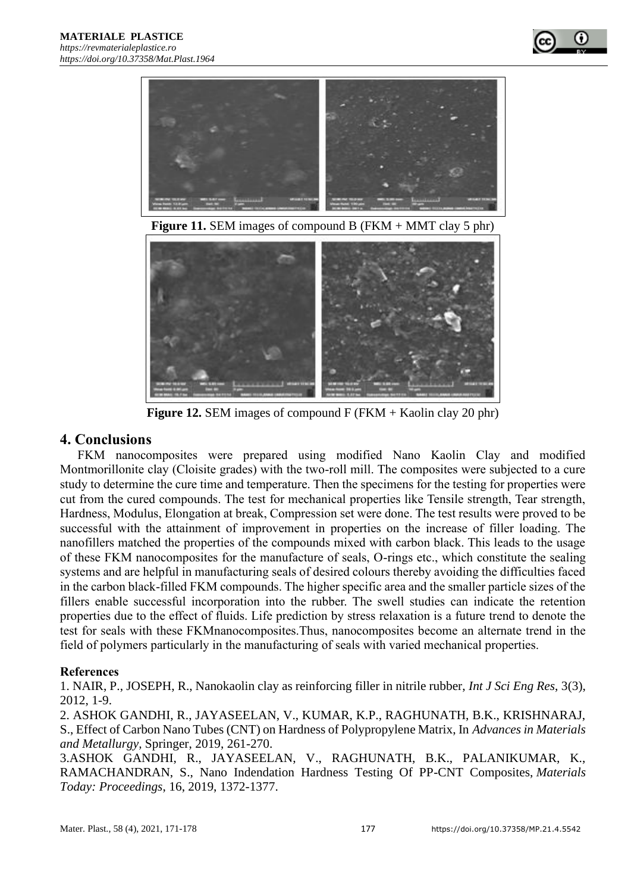



**Figure 11.** SEM images of compound B (FKM + MMT clay 5 phr)



**Figure 12.** SEM images of compound F (FKM + Kaolin clay 20 phr)

# **4. Conclusions**

FKM nanocomposites were prepared using modified Nano Kaolin Clay and modified Montmorillonite clay (Cloisite grades) with the two-roll mill. The composites were subjected to a cure study to determine the cure time and temperature. Then the specimens for the testing for properties were cut from the cured compounds. The test for mechanical properties like Tensile strength, Tear strength, Hardness, Modulus, Elongation at break, Compression set were done. The test results were proved to be successful with the attainment of improvement in properties on the increase of filler loading. The nanofillers matched the properties of the compounds mixed with carbon black. This leads to the usage of these FKM nanocomposites for the manufacture of seals, O-rings etc., which constitute the sealing systems and are helpful in manufacturing seals of desired colours thereby avoiding the difficulties faced in the carbon black-filled FKM compounds. The higher specific area and the smaller particle sizes of the fillers enable successful incorporation into the rubber. The swell studies can indicate the retention properties due to the effect of fluids. Life prediction by stress relaxation is a future trend to denote the test for seals with these FKMnanocomposites.Thus, nanocomposites become an alternate trend in the field of polymers particularly in the manufacturing of seals with varied mechanical properties.

# **References**

1. NAIR, P., JOSEPH, R., Nanokaolin clay as reinforcing filler in nitrile rubber, *Int J Sci Eng Res*, 3(3), 2012, 1-9.

2. ASHOK GANDHI, R., JAYASEELAN, V., KUMAR, K.P., RAGHUNATH, B.K., KRISHNARAJ, S., Effect of Carbon Nano Tubes (CNT) on Hardness of Polypropylene Matrix, In *Advances in Materials and Metallurgy,* Springer, 2019, 261-270.

3.ASHOK GANDHI, R., JAYASEELAN, V., RAGHUNATH, B.K., PALANIKUMAR, K., RAMACHANDRAN, S., Nano Indendation Hardness Testing Of PP-CNT Composites, *Materials Today: Proceedings*, 16, 2019, 1372-1377.